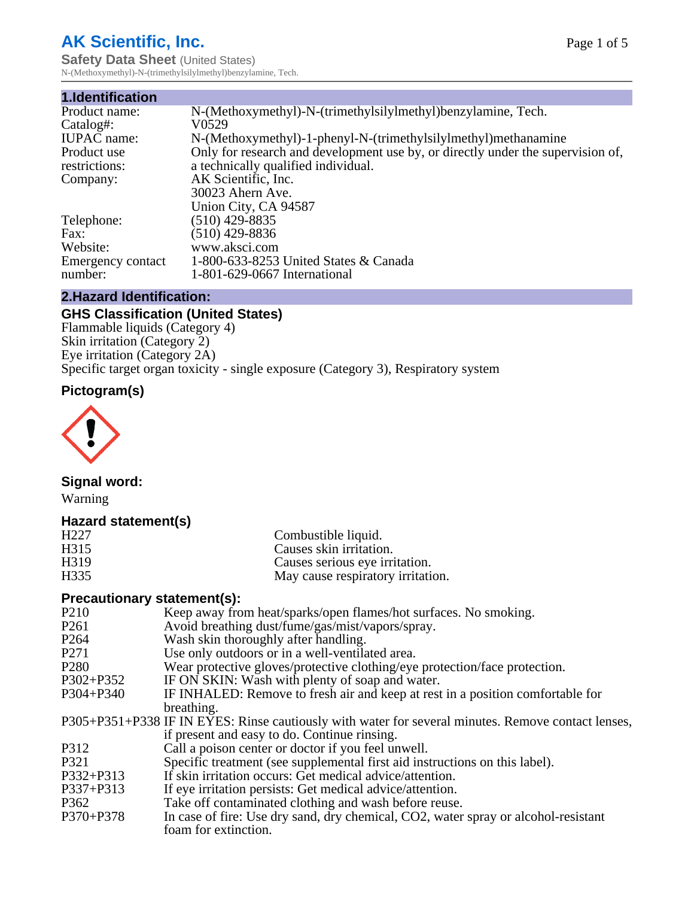# **AK Scientific, Inc.**

**Safety Data Sheet (United States)** N-(Methoxymethyl)-N-(trimethylsilylmethyl)benzylamine, Tech.

| 1.Identification   |                                                                                 |
|--------------------|---------------------------------------------------------------------------------|
| Product name:      | N-(Methoxymethyl)-N-(trimethylsilylmethyl)benzylamine, Tech.                    |
| Catalog#:          | V0529                                                                           |
| <b>IUPAC</b> name: | N-(Methoxymethyl)-1-phenyl-N-(trimethylsilylmethyl)methanamine                  |
| Product use        | Only for research and development use by, or directly under the supervision of, |
| restrictions:      | a technically qualified individual.                                             |
| Company:           | AK Scientific, Inc.                                                             |
|                    | 30023 Ahern Ave.                                                                |
|                    | Union City, CA 94587                                                            |
| Telephone:         | $(510)$ 429-8835                                                                |
| Fax:               | $(510)$ 429-8836                                                                |
| Website:           | www.aksci.com                                                                   |
| Emergency contact  | 1-800-633-8253 United States & Canada                                           |
| number:            | 1-801-629-0667 International                                                    |

# **2.Hazard Identification:**

# **GHS Classification (United States)**

Flammable liquids (Category 4) Skin irritation (Category 2) Eye irritation (Category 2A) Specific target organ toxicity - single exposure (Category 3), Respiratory system

# **Pictogram(s)**



# **Signal word:**

Warning

## **Hazard statement(s)**

| H <sub>227</sub><br>H <sub>3</sub> 15 | Combustible liquid.<br>Causes skin irritation. |
|---------------------------------------|------------------------------------------------|
| H <sub>3</sub> 19                     | Causes serious eye irritation.                 |
| H <sub>335</sub>                      | May cause respiratory irritation.              |
|                                       |                                                |

#### **Precautionary statement(s):**

| P <sub>210</sub> | Keep away from heat/sparks/open flames/hot surfaces. No smoking.                                   |
|------------------|----------------------------------------------------------------------------------------------------|
| P261             | Avoid breathing dust/fume/gas/mist/vapors/spray.                                                   |
| P <sub>264</sub> | Wash skin thoroughly after handling.                                                               |
| P271             | Use only outdoors or in a well-ventilated area.                                                    |
| P <sub>280</sub> | Wear protective gloves/protective clothing/eye protection/face protection.                         |
| P302+P352        | IF ON SKIN: Wash with plenty of soap and water.                                                    |
| P304+P340        | IF INHALED: Remove to fresh air and keep at rest in a position comfortable for                     |
|                  | breathing.                                                                                         |
|                  | P305+P351+P338 IF IN EYES: Rinse cautiously with water for several minutes. Remove contact lenses, |
|                  | if present and easy to do. Continue rinsing.                                                       |
| P312             | Call a poison center or doctor if you feel unwell.                                                 |
| P321             | Specific treatment (see supplemental first aid instructions on this label).                        |
| P332+P313        | If skin irritation occurs: Get medical advice/attention.                                           |
| P337+P313        | If eye irritation persists: Get medical advice/attention.                                          |
| P362             | Take off contaminated clothing and wash before reuse.                                              |
| P370+P378        | In case of fire: Use dry sand, dry chemical, CO2, water spray or alcohol-resistant                 |
|                  | foam for extinction.                                                                               |
|                  |                                                                                                    |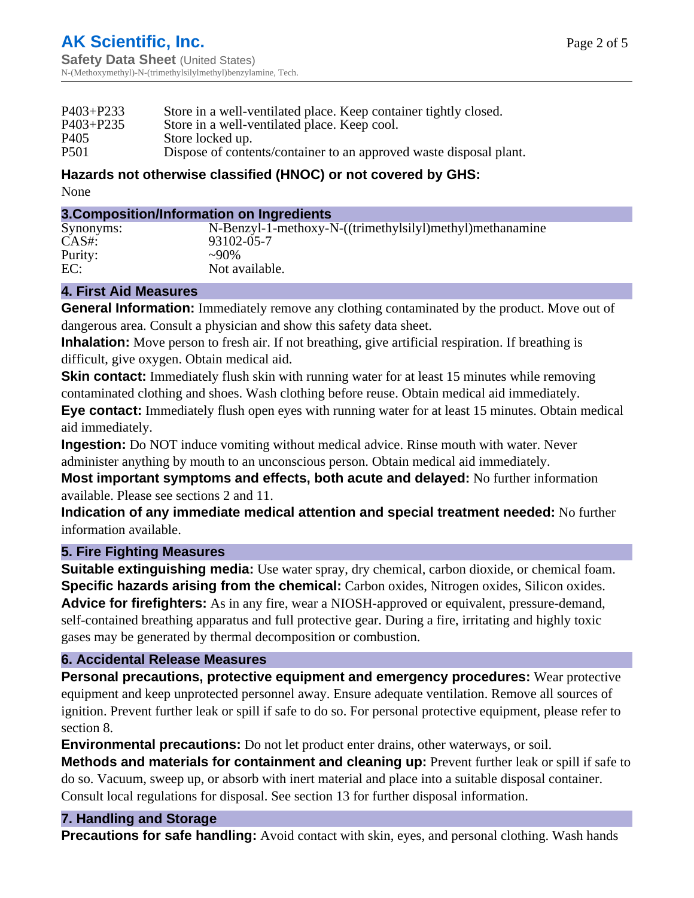| Dispose of contents/container to an approved waste disposal plant. |
|--------------------------------------------------------------------|
| Store in a well-ventilated place. Keep container tightly closed.   |

# **Hazards not otherwise classified (HNOC) or not covered by GHS:**

None

#### **3.Composition/Information on Ingredients**

| Synonyms: | N-Benzyl-1-methoxy-N-((trimethylsilyl)methyl)methanamine |
|-----------|----------------------------------------------------------|
| $CAS#$ :  | 93102-05-7                                               |
| Purity:   | $\sim 90\%$                                              |
| EC:       | Not available.                                           |

## **4. First Aid Measures**

**General Information:** Immediately remove any clothing contaminated by the product. Move out of dangerous area. Consult a physician and show this safety data sheet.

**Inhalation:** Move person to fresh air. If not breathing, give artificial respiration. If breathing is difficult, give oxygen. Obtain medical aid.

**Skin contact:** Immediately flush skin with running water for at least 15 minutes while removing contaminated clothing and shoes. Wash clothing before reuse. Obtain medical aid immediately.

**Eye contact:** Immediately flush open eyes with running water for at least 15 minutes. Obtain medical aid immediately.

**Ingestion:** Do NOT induce vomiting without medical advice. Rinse mouth with water. Never administer anything by mouth to an unconscious person. Obtain medical aid immediately.

**Most important symptoms and effects, both acute and delayed:** No further information available. Please see sections 2 and 11.

**Indication of any immediate medical attention and special treatment needed:** No further information available.

## **5. Fire Fighting Measures**

**Suitable extinguishing media:** Use water spray, dry chemical, carbon dioxide, or chemical foam. **Specific hazards arising from the chemical:** Carbon oxides, Nitrogen oxides, Silicon oxides. **Advice for firefighters:** As in any fire, wear a NIOSH-approved or equivalent, pressure-demand, self-contained breathing apparatus and full protective gear. During a fire, irritating and highly toxic gases may be generated by thermal decomposition or combustion.

## **6. Accidental Release Measures**

**Personal precautions, protective equipment and emergency procedures:** Wear protective equipment and keep unprotected personnel away. Ensure adequate ventilation. Remove all sources of ignition. Prevent further leak or spill if safe to do so. For personal protective equipment, please refer to section 8.

**Environmental precautions:** Do not let product enter drains, other waterways, or soil.

**Methods and materials for containment and cleaning up:** Prevent further leak or spill if safe to do so. Vacuum, sweep up, or absorb with inert material and place into a suitable disposal container. Consult local regulations for disposal. See section 13 for further disposal information.

## **7. Handling and Storage**

**Precautions for safe handling:** Avoid contact with skin, eyes, and personal clothing. Wash hands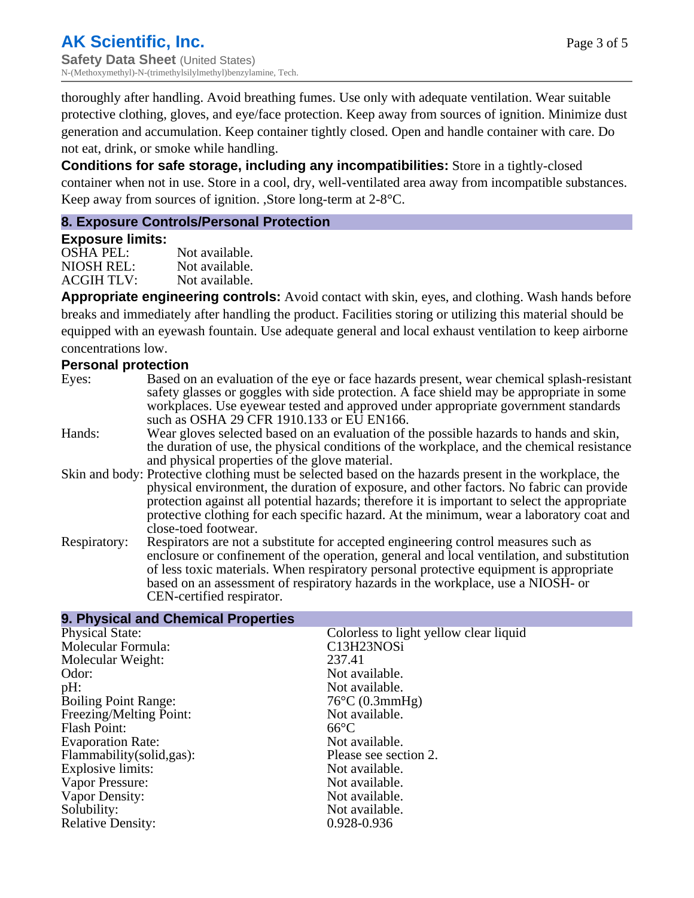thoroughly after handling. Avoid breathing fumes. Use only with adequate ventilation. Wear suitable protective clothing, gloves, and eye/face protection. Keep away from sources of ignition. Minimize dust generation and accumulation. Keep container tightly closed. Open and handle container with care. Do not eat, drink, or smoke while handling.

**Conditions for safe storage, including any incompatibilities:** Store in a tightly-closed container when not in use. Store in a cool, dry, well-ventilated area away from incompatible substances. Keep away from sources of ignition. ,Store long-term at 2-8°C.

## **8. Exposure Controls/Personal Protection**

**9. Physical and Chemical Properties**

#### **Exposure limits:**

OSHA PEL: Not available. NIOSH REL: Not available.<br>ACGIH TLV: Not available. ACGIH TLV:

**Appropriate engineering controls:** Avoid contact with skin, eyes, and clothing. Wash hands before breaks and immediately after handling the product. Facilities storing or utilizing this material should be equipped with an eyewash fountain. Use adequate general and local exhaust ventilation to keep airborne concentrations low.

## **Personal protection**

- Eyes: Based on an evaluation of the eye or face hazards present, wear chemical splash-resistant safety glasses or goggles with side protection. A face shield may be appropriate in some workplaces. Use eyewear tested and approved under appropriate government standards such as OSHA 29 CFR 1910.133 or EU EN166.
- Hands: Wear gloves selected based on an evaluation of the possible hazards to hands and skin, the duration of use, the physical conditions of the workplace, and the chemical resistance and physical properties of the glove material.
- Skin and body: Protective clothing must be selected based on the hazards present in the workplace, the physical environment, the duration of exposure, and other factors. No fabric can provide protection against all potential hazards; therefore it is important to select the appropriate protective clothing for each specific hazard. At the minimum, wear a laboratory coat and close-toed footwear.
- Respiratory: Respirators are not a substitute for accepted engineering control measures such as enclosure or confinement of the operation, general and local ventilation, and substitution of less toxic materials. When respiratory personal protective equipment is appropriate based on an assessment of respiratory hazards in the workplace, use a NIOSH- or CEN-certified respirator.

| Colorless to light yellow clear liquid |
|----------------------------------------|
| C13H23NOSi                             |
| 237.41                                 |
| Not available.                         |
| Not available.                         |
| $76^{\circ}$ C (0.3mmHg)               |
| Not available.                         |
| $66^{\circ}C$                          |
| Not available.                         |
| Please see section 2.                  |
| Not available.                         |
| Not available.                         |
| Not available.                         |
| Not available.                         |
| 0.928-0.936                            |
|                                        |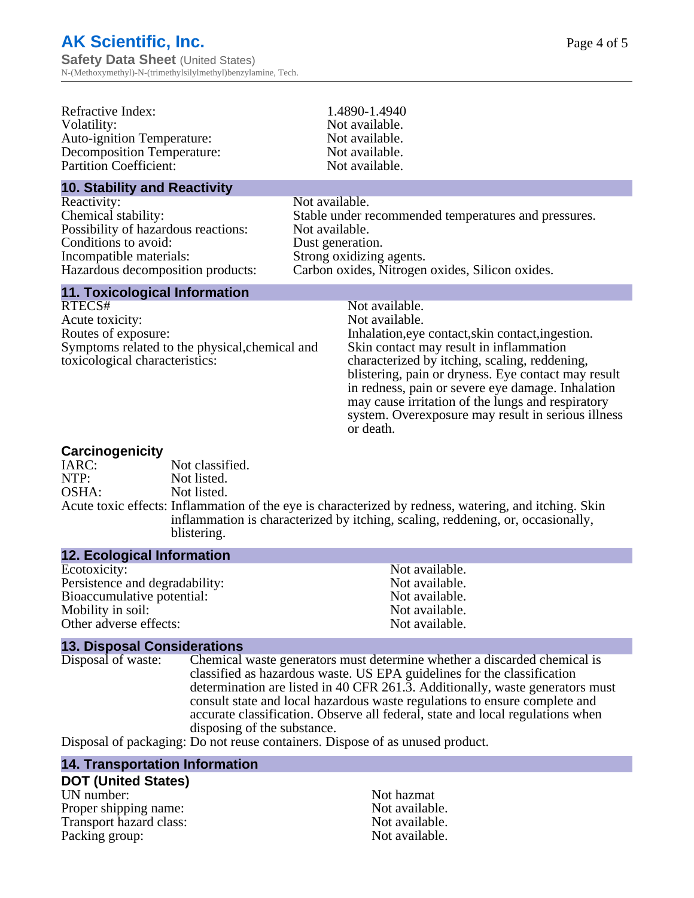**Safety Data Sheet** (United States) N-(Methoxymethyl)-N-(trimethylsilylmethyl)benzylamine, Tech.

| Refractive Index:<br>Volatility:<br><b>Auto-ignition Temperature:</b><br><b>Decomposition Temperature:</b><br><b>Partition Coefficient:</b>                                  |                                                                                  | 1.4890-1.4940<br>Not available.<br>Not available.<br>Not available.<br>Not available.                                                                                                                                                                                                                                                                                                                                 |
|------------------------------------------------------------------------------------------------------------------------------------------------------------------------------|----------------------------------------------------------------------------------|-----------------------------------------------------------------------------------------------------------------------------------------------------------------------------------------------------------------------------------------------------------------------------------------------------------------------------------------------------------------------------------------------------------------------|
| <b>10. Stability and Reactivity</b>                                                                                                                                          |                                                                                  |                                                                                                                                                                                                                                                                                                                                                                                                                       |
| Reactivity:<br>Chemical stability:<br>Possibility of hazardous reactions:<br>Conditions to avoid:<br>Incompatible materials:<br>Hazardous decomposition products:            | Not available.<br>Not available.<br>Dust generation.<br>Strong oxidizing agents. | Stable under recommended temperatures and pressures.<br>Carbon oxides, Nitrogen oxides, Silicon oxides.                                                                                                                                                                                                                                                                                                               |
| <b>11. Toxicological Information</b><br>RTECS#<br>Acute toxicity:<br>Routes of exposure:<br>Symptoms related to the physical, chemical and<br>toxicological characteristics: |                                                                                  | Not available.<br>Not available.<br>Inhalation, eye contact, skin contact, ingestion.<br>Skin contact may result in inflammation<br>characterized by itching, scaling, reddening,<br>blistering, pain or dryness. Eye contact may result<br>in redness, pain or severe eye damage. Inhalation<br>may cause irritation of the lungs and respiratory<br>system. Overexposure may result in serious illness<br>or death. |

#### **Carcinogenicity**

| Not classified.                                                                                                                                                                                         |
|---------------------------------------------------------------------------------------------------------------------------------------------------------------------------------------------------------|
| Not listed.                                                                                                                                                                                             |
| Not listed.                                                                                                                                                                                             |
| Acute toxic effects: Inflammation of the eye is characterized by redness, watering, and itching. Skin<br>inflammation is characterized by itching, scaling, reddening, or, occasionally,<br>blistering. |
|                                                                                                                                                                                                         |

#### **12. Ecological Information**

| Not available. |
|----------------|
| Not available. |
| Not available. |
| Not available. |
| Not available. |
|                |

**13. Disposal Considerations** Chemical waste generators must determine whether a discarded chemical is classified as hazardous waste. US EPA guidelines for the classification determination are listed in 40 CFR 261.3. Additionally, waste generators must consult state and local hazardous waste regulations to ensure complete and accurate classification. Observe all federal, state and local regulations when disposing of the substance.

Disposal of packaging: Do not reuse containers. Dispose of as unused product.

#### **14. Transportation Information**

# **DOT (United States)**

UN number: Not hazmat Proper shipping name:<br>
Transport hazard class:<br>
Not available. Transport hazard class:<br>
Packing group: Not available.<br>
Not available. Packing group: